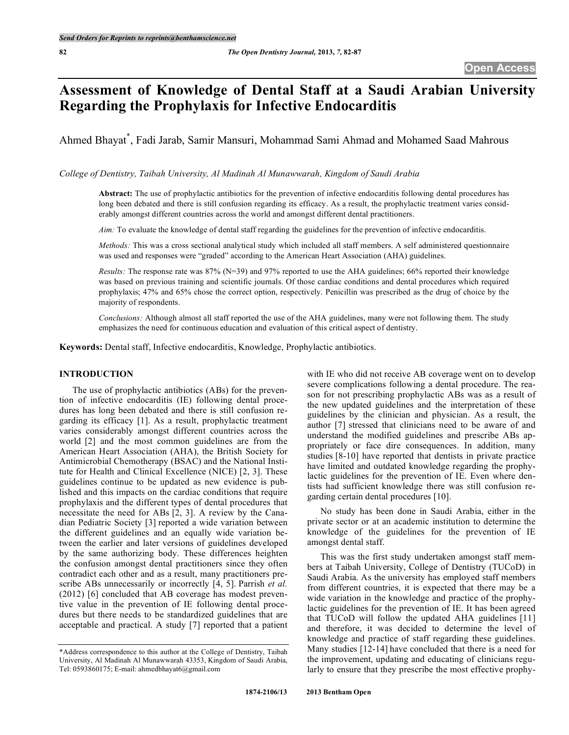# **Assessment of Knowledge of Dental Staff at a Saudi Arabian University Regarding the Prophylaxis for Infective Endocarditis**

Ahmed Bhayat \* , Fadi Jarab, Samir Mansuri, Mohammad Sami Ahmad and Mohamed Saad Mahrous

*College of Dentistry, Taibah University, Al Madinah Al Munawwarah, Kingdom of Saudi Arabia*

**Abstract:** The use of prophylactic antibiotics for the prevention of infective endocarditis following dental procedures has long been debated and there is still confusion regarding its efficacy. As a result, the prophylactic treatment varies considerably amongst different countries across the world and amongst different dental practitioners.

*Aim:* To evaluate the knowledge of dental staff regarding the guidelines for the prevention of infective endocarditis.

*Methods:* This was a cross sectional analytical study which included all staff members. A self administered questionnaire was used and responses were "graded" according to the American Heart Association (AHA) guidelines.

*Results:* The response rate was 87% (N=39) and 97% reported to use the AHA guidelines; 66% reported their knowledge was based on previous training and scientific journals. Of those cardiac conditions and dental procedures which required prophylaxis; 47% and 65% chose the correct option, respectively. Penicillin was prescribed as the drug of choice by the majority of respondents.

*Conclusions:* Although almost all staff reported the use of the AHA guidelines, many were not following them. The study emphasizes the need for continuous education and evaluation of this critical aspect of dentistry.

**Keywords:** Dental staff, Infective endocarditis, Knowledge, Prophylactic antibiotics.

# **INTRODUCTION**

The use of prophylactic antibiotics (ABs) for the prevention of infective endocarditis (IE) following dental procedures has long been debated and there is still confusion regarding its efficacy [1]. As a result, prophylactic treatment varies considerably amongst different countries across the world [2] and the most common guidelines are from the American Heart Association (AHA), the British Society for Antimicrobial Chemotherapy (BSAC) and the National Institute for Health and Clinical Excellence (NICE) [2, 3]. These guidelines continue to be updated as new evidence is published and this impacts on the cardiac conditions that require prophylaxis and the different types of dental procedures that necessitate the need for ABs [2, 3]. A review by the Canadian Pediatric Society [3] reported a wide variation between the different guidelines and an equally wide variation between the earlier and later versions of guidelines developed by the same authorizing body. These differences heighten the confusion amongst dental practitioners since they often contradict each other and as a result, many practitioners prescribe ABs unnecessarily or incorrectly [4, 5]. Parrish *et al.* (2012) [6] concluded that AB coverage has modest preventive value in the prevention of IE following dental procedures but there needs to be standardized guidelines that are acceptable and practical. A study [7] reported that a patient

with IE who did not receive AB coverage went on to develop severe complications following a dental procedure. The reason for not prescribing prophylactic ABs was as a result of the new updated guidelines and the interpretation of these guidelines by the clinician and physician. As a result, the author [7] stressed that clinicians need to be aware of and understand the modified guidelines and prescribe ABs appropriately or face dire consequences. In addition, many studies [8-10] have reported that dentists in private practice have limited and outdated knowledge regarding the prophylactic guidelines for the prevention of IE. Even where dentists had sufficient knowledge there was still confusion regarding certain dental procedures [10].

No study has been done in Saudi Arabia, either in the private sector or at an academic institution to determine the knowledge of the guidelines for the prevention of IE amongst dental staff.

This was the first study undertaken amongst staff members at Taibah University, College of Dentistry (TUCoD) in Saudi Arabia. As the university has employed staff members from different countries, it is expected that there may be a wide variation in the knowledge and practice of the prophylactic guidelines for the prevention of IE. It has been agreed that TUCoD will follow the updated AHA guidelines [11] and therefore, it was decided to determine the level of knowledge and practice of staff regarding these guidelines. Many studies [12-14] have concluded that there is a need for the improvement, updating and educating of clinicians regularly to ensure that they prescribe the most effective prophy-

<sup>\*</sup>Address correspondence to this author at the College of Dentistry, Taibah University, Al Madinah Al Munawwarah 43353, Kingdom of Saudi Arabia, Tel: 0593860175; E-mail: ahmedbhayat6@gmail.com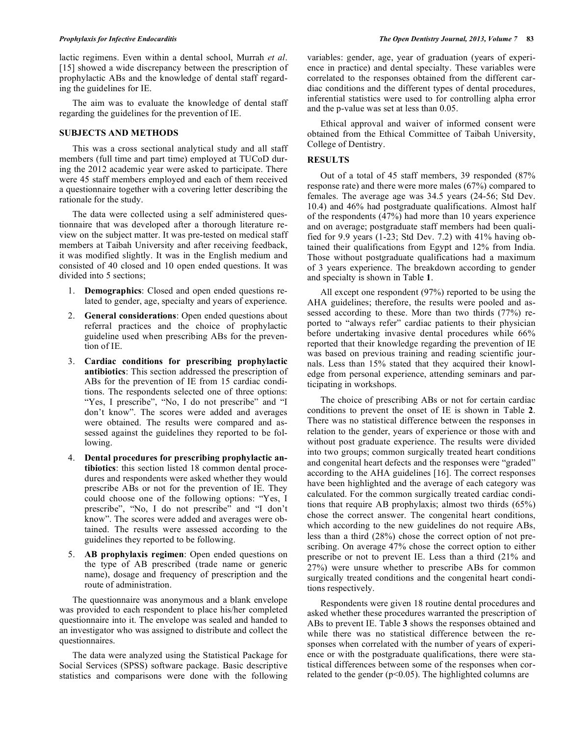lactic regimens. Even within a dental school, Murrah *et al*. [15] showed a wide discrepancy between the prescription of prophylactic ABs and the knowledge of dental staff regarding the guidelines for IE.

The aim was to evaluate the knowledge of dental staff regarding the guidelines for the prevention of IE.

# **SUBJECTS AND METHODS**

This was a cross sectional analytical study and all staff members (full time and part time) employed at TUCoD during the 2012 academic year were asked to participate. There were 45 staff members employed and each of them received a questionnaire together with a covering letter describing the rationale for the study.

The data were collected using a self administered questionnaire that was developed after a thorough literature review on the subject matter. It was pre-tested on medical staff members at Taibah University and after receiving feedback, it was modified slightly. It was in the English medium and consisted of 40 closed and 10 open ended questions. It was divided into 5 sections;

- 1. **Demographics**: Closed and open ended questions related to gender, age, specialty and years of experience.
- 2. **General considerations**: Open ended questions about referral practices and the choice of prophylactic guideline used when prescribing ABs for the prevention of IE.
- 3. **Cardiac conditions for prescribing prophylactic antibiotics**: This section addressed the prescription of ABs for the prevention of IE from 15 cardiac conditions. The respondents selected one of three options: "Yes, I prescribe", "No, I do not prescribe" and "I don't know". The scores were added and averages were obtained. The results were compared and assessed against the guidelines they reported to be following.
- 4. **Dental procedures for prescribing prophylactic antibiotics**: this section listed 18 common dental procedures and respondents were asked whether they would prescribe ABs or not for the prevention of IE. They could choose one of the following options: "Yes, I prescribe", "No, I do not prescribe" and "I don't know". The scores were added and averages were obtained. The results were assessed according to the guidelines they reported to be following.
- 5. **AB prophylaxis regimen**: Open ended questions on the type of AB prescribed (trade name or generic name), dosage and frequency of prescription and the route of administration.

The questionnaire was anonymous and a blank envelope was provided to each respondent to place his/her completed questionnaire into it. The envelope was sealed and handed to an investigator who was assigned to distribute and collect the questionnaires.

The data were analyzed using the Statistical Package for Social Services (SPSS) software package. Basic descriptive statistics and comparisons were done with the following variables: gender, age, year of graduation (years of experience in practice) and dental specialty. These variables were correlated to the responses obtained from the different cardiac conditions and the different types of dental procedures, inferential statistics were used to for controlling alpha error and the p-value was set at less than 0.05.

Ethical approval and waiver of informed consent were obtained from the Ethical Committee of Taibah University, College of Dentistry.

## **RESULTS**

Out of a total of 45 staff members, 39 responded (87% response rate) and there were more males (67%) compared to females. The average age was 34.5 years (24-56; Std Dev. 10.4) and 46% had postgraduate qualifications. Almost half of the respondents (47%) had more than 10 years experience and on average; postgraduate staff members had been qualified for 9.9 years (1-23; Std Dev. 7.2) with 41% having obtained their qualifications from Egypt and 12% from India. Those without postgraduate qualifications had a maximum of 3 years experience. The breakdown according to gender and specialty is shown in Table **1**.

All except one respondent (97%) reported to be using the AHA guidelines; therefore, the results were pooled and assessed according to these. More than two thirds (77%) reported to "always refer" cardiac patients to their physician before undertaking invasive dental procedures while 66% reported that their knowledge regarding the prevention of IE was based on previous training and reading scientific journals. Less than 15% stated that they acquired their knowledge from personal experience, attending seminars and participating in workshops.

The choice of prescribing ABs or not for certain cardiac conditions to prevent the onset of IE is shown in Table **2**. There was no statistical difference between the responses in relation to the gender, years of experience or those with and without post graduate experience. The results were divided into two groups; common surgically treated heart conditions and congenital heart defects and the responses were "graded" according to the AHA guidelines [16]. The correct responses have been highlighted and the average of each category was calculated. For the common surgically treated cardiac conditions that require AB prophylaxis; almost two thirds (65%) chose the correct answer. The congenital heart conditions, which according to the new guidelines do not require ABs, less than a third (28%) chose the correct option of not prescribing. On average 47% chose the correct option to either prescribe or not to prevent IE. Less than a third (21% and 27%) were unsure whether to prescribe ABs for common surgically treated conditions and the congenital heart conditions respectively.

Respondents were given 18 routine dental procedures and asked whether these procedures warranted the prescription of ABs to prevent IE. Table **3** shows the responses obtained and while there was no statistical difference between the responses when correlated with the number of years of experience or with the postgraduate qualifications, there were statistical differences between some of the responses when correlated to the gender ( $p<0.05$ ). The highlighted columns are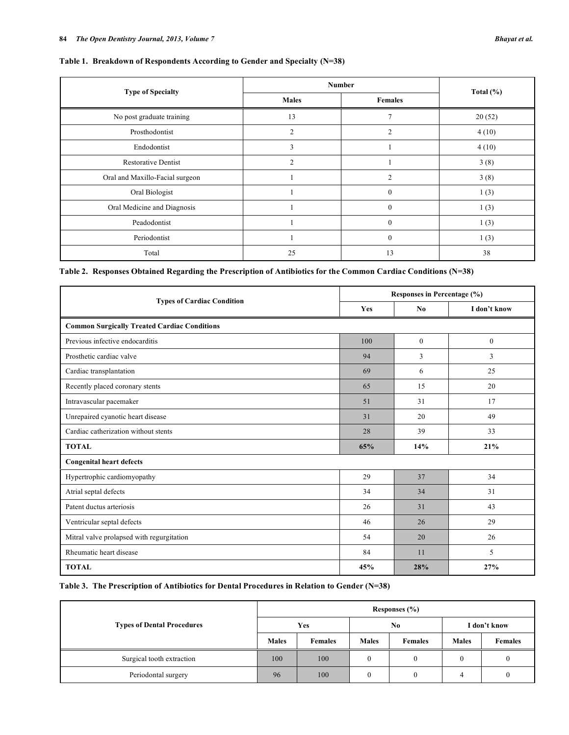|                                 | <b>Number</b>  |                |               |  |
|---------------------------------|----------------|----------------|---------------|--|
| <b>Type of Specialty</b>        | <b>Males</b>   | <b>Females</b> | Total $(\% )$ |  |
| No post graduate training       | 13             | 7              | 20(52)        |  |
| Prosthodontist                  | $\overline{2}$ | 2              | 4(10)         |  |
| Endodontist                     | 3              |                | 4(10)         |  |
| <b>Restorative Dentist</b>      | $\overline{2}$ |                | 3(8)          |  |
| Oral and Maxillo-Facial surgeon |                | 2              | 3(8)          |  |
| Oral Biologist                  |                | $\mathbf{0}$   | 1(3)          |  |
| Oral Medicine and Diagnosis     |                | $\mathbf{0}$   | 1(3)          |  |
| Peadodontist                    |                | $\mathbf{0}$   | 1(3)          |  |
| Periodontist                    |                | $\mathbf{0}$   | 1(3)          |  |
| Total                           | 25             | 13             | 38            |  |

**Table 2. Responses Obtained Regarding the Prescription of Antibiotics for the Common Cardiac Conditions (N=38)**

|                                                     | Responses in Percentage (%) |                |              |  |
|-----------------------------------------------------|-----------------------------|----------------|--------------|--|
| <b>Types of Cardiac Condition</b>                   | Yes                         | N <sub>0</sub> | I don't know |  |
| <b>Common Surgically Treated Cardiac Conditions</b> |                             |                |              |  |
| Previous infective endocarditis                     | 100                         | $\mathbf{0}$   | $\mathbf{0}$ |  |
| Prosthetic cardiac valve                            | 94                          | 3              | 3            |  |
| Cardiac transplantation                             | 69                          | 6              | 25           |  |
| Recently placed coronary stents                     | 65                          | 15             | 20           |  |
| Intravascular pacemaker                             | 51                          | 31             | 17           |  |
| Unrepaired cyanotic heart disease                   | 31                          | 20             | 49           |  |
| Cardiac catherization without stents                | 28                          | 39             | 33           |  |
| <b>TOTAL</b>                                        | 65%                         | 14%            | 21%          |  |
| <b>Congenital heart defects</b>                     |                             |                |              |  |
| Hypertrophic cardiomyopathy                         | 29                          | 37             | 34           |  |
| Atrial septal defects                               | 34                          | 34             | 31           |  |
| Patent ductus arteriosis                            | 26                          | 31             | 43           |  |
| Ventricular septal defects                          | 46                          | 26             | 29           |  |
| Mitral valve prolapsed with regurgitation           | 54                          | 20             | 26           |  |
| Rheumatic heart disease                             | 84                          | 11             | 5            |  |
| <b>TOTAL</b>                                        | 45%                         | 28%            | 27%          |  |

**Table 3. The Prescription of Antibiotics for Dental Procedures in Relation to Gender (N=38)**

| <b>Types of Dental Procedures</b> | Responses $(\% )$ |                |              |         |              |                |
|-----------------------------------|-------------------|----------------|--------------|---------|--------------|----------------|
|                                   | Yes               |                | $\bf No$     |         | I don't know |                |
|                                   | <b>Males</b>      | <b>Females</b> | <b>Males</b> | Females | <b>Males</b> | <b>Females</b> |
| Surgical tooth extraction         | 100               | 100            | 0            |         | $\theta$     |                |
| Periodontal surgery               | 96                | 100            | $\bf{0}$     |         |              |                |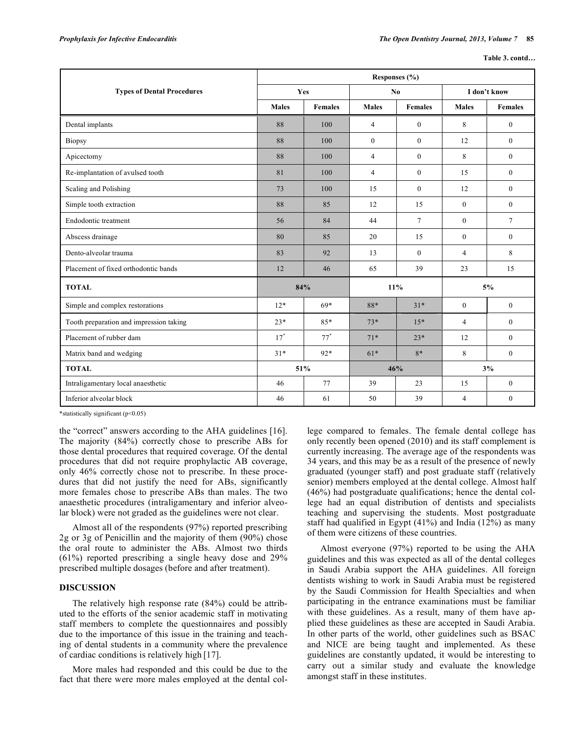|  | Table 3. contd |
|--|----------------|
|  |                |

|                                         | Responses (%) |                |                |                |                |                 |
|-----------------------------------------|---------------|----------------|----------------|----------------|----------------|-----------------|
| <b>Types of Dental Procedures</b>       | Yes           |                | N <sub>0</sub> |                | I don't know   |                 |
|                                         | <b>Males</b>  | <b>Females</b> | <b>Males</b>   | <b>Females</b> | <b>Males</b>   | <b>Females</b>  |
| Dental implants                         | 88            | 100            | $\overline{4}$ | $\mathbf{0}$   | 8              | $\mathbf{0}$    |
| Biopsy                                  | 88            | 100            | $\overline{0}$ | $\mathbf{0}$   | 12             | $\mathbf{0}$    |
| Apicectomy                              | 88            | 100            | $\overline{4}$ | $\theta$       | 8              | $\Omega$        |
| Re-implantation of avulsed tooth        | 81            | 100            | $\overline{4}$ | $\theta$       | 15             | $\Omega$        |
| Scaling and Polishing                   | 73            | 100            | 15             | $\mathbf{0}$   | 12             | $\mathbf{0}$    |
| Simple tooth extraction                 | 88            | 85             | 12             | 15             | $\theta$       | $\Omega$        |
| Endodontic treatment                    | 56            | 84             | 44             | $\overline{7}$ | $\mathbf{0}$   | $7\overline{ }$ |
| Abscess drainage                        | 80            | 85             | 20             | 15             | $\mathbf{0}$   | $\mathbf{0}$    |
| Dento-alveolar trauma                   | 83            | 92             | 13             | $\mathbf{0}$   | $\overline{4}$ | 8               |
| Placement of fixed orthodontic bands    | 12            | 46             | 65             | 39             | 23             | 15              |
| <b>TOTAL</b>                            | 84%           |                | 11%            |                | 5%             |                 |
| Simple and complex restorations         | $12*$         | $69*$          | 88*            | $31*$          | $\theta$       | $\Omega$        |
| Tooth preparation and impression taking | $23*$         | 85*            | $73*$          | $15*$          | 4              | $\Omega$        |
| Placement of rubber dam                 | $17^*$        | $77*$          | $71*$          | $23*$          | 12             | $\mathbf{0}$    |
| Matrix band and wedging                 | $31*$         | $92*$          | $61*$          | $8*$           | 8              | $\Omega$        |
| <b>TOTAL</b>                            | 51%           |                | 46%            |                | 3%             |                 |
| Intraligamentary local anaesthetic      | 46            | 77             | 39             | 23             | 15             | $\overline{0}$  |
| Inferior alveolar block                 | 46            | 61             | 50             | 39             | $\overline{4}$ | $\mathbf{0}$    |

\*statistically significant (p<0.05)

the "correct" answers according to the AHA guidelines [16]. The majority (84%) correctly chose to prescribe ABs for those dental procedures that required coverage. Of the dental procedures that did not require prophylactic AB coverage, only 46% correctly chose not to prescribe. In these procedures that did not justify the need for ABs, significantly more females chose to prescribe ABs than males. The two anaesthetic procedures (intraligamentary and inferior alveolar block) were not graded as the guidelines were not clear.

Almost all of the respondents (97%) reported prescribing 2g or 3g of Penicillin and the majority of them (90%) chose the oral route to administer the ABs. Almost two thirds (61%) reported prescribing a single heavy dose and 29% prescribed multiple dosages (before and after treatment).

# **DISCUSSION**

The relatively high response rate (84%) could be attributed to the efforts of the senior academic staff in motivating staff members to complete the questionnaires and possibly due to the importance of this issue in the training and teaching of dental students in a community where the prevalence of cardiac conditions is relatively high [17].

More males had responded and this could be due to the fact that there were more males employed at the dental college compared to females. The female dental college has only recently been opened (2010) and its staff complement is currently increasing. The average age of the respondents was 34 years, and this may be as a result of the presence of newly graduated (younger staff) and post graduate staff (relatively senior) members employed at the dental college. Almost half (46%) had postgraduate qualifications; hence the dental college had an equal distribution of dentists and specialists teaching and supervising the students. Most postgraduate staff had qualified in Egypt (41%) and India (12%) as many of them were citizens of these countries.

Almost everyone (97%) reported to be using the AHA guidelines and this was expected as all of the dental colleges in Saudi Arabia support the AHA guidelines. All foreign dentists wishing to work in Saudi Arabia must be registered by the Saudi Commission for Health Specialties and when participating in the entrance examinations must be familiar with these guidelines. As a result, many of them have applied these guidelines as these are accepted in Saudi Arabia. In other parts of the world, other guidelines such as BSAC and NICE are being taught and implemented. As these guidelines are constantly updated, it would be interesting to carry out a similar study and evaluate the knowledge amongst staff in these institutes.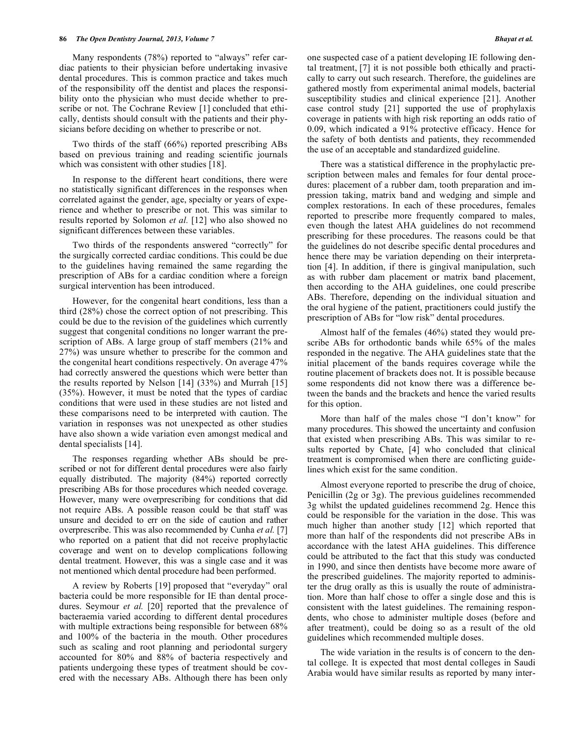Many respondents (78%) reported to "always" refer cardiac patients to their physician before undertaking invasive dental procedures. This is common practice and takes much of the responsibility off the dentist and places the responsibility onto the physician who must decide whether to prescribe or not. The Cochrane Review [1] concluded that ethically, dentists should consult with the patients and their physicians before deciding on whether to prescribe or not.

Two thirds of the staff (66%) reported prescribing ABs based on previous training and reading scientific journals which was consistent with other studies [18].

In response to the different heart conditions, there were no statistically significant differences in the responses when correlated against the gender, age, specialty or years of experience and whether to prescribe or not. This was similar to results reported by Solomon *et al.* [12] who also showed no significant differences between these variables.

Two thirds of the respondents answered "correctly" for the surgically corrected cardiac conditions. This could be due to the guidelines having remained the same regarding the prescription of ABs for a cardiac condition where a foreign surgical intervention has been introduced.

However, for the congenital heart conditions, less than a third (28%) chose the correct option of not prescribing. This could be due to the revision of the guidelines which currently suggest that congenital conditions no longer warrant the prescription of ABs. A large group of staff members (21% and 27%) was unsure whether to prescribe for the common and the congenital heart conditions respectively. On average 47% had correctly answered the questions which were better than the results reported by Nelson [14] (33%) and Murrah [15] (35%). However, it must be noted that the types of cardiac conditions that were used in these studies are not listed and these comparisons need to be interpreted with caution. The variation in responses was not unexpected as other studies have also shown a wide variation even amongst medical and dental specialists [14].

The responses regarding whether ABs should be prescribed or not for different dental procedures were also fairly equally distributed. The majority (84%) reported correctly prescribing ABs for those procedures which needed coverage. However, many were overprescribing for conditions that did not require ABs. A possible reason could be that staff was unsure and decided to err on the side of caution and rather overprescribe. This was also recommended by Cunha *et al.* [7] who reported on a patient that did not receive prophylactic coverage and went on to develop complications following dental treatment. However, this was a single case and it was not mentioned which dental procedure had been performed.

A review by Roberts [19] proposed that "everyday" oral bacteria could be more responsible for IE than dental procedures. Seymour *et al.* [20] reported that the prevalence of bacteraemia varied according to different dental procedures with multiple extractions being responsible for between  $68\%$ and 100% of the bacteria in the mouth. Other procedures such as scaling and root planning and periodontal surgery accounted for 80% and 88% of bacteria respectively and patients undergoing these types of treatment should be covered with the necessary ABs. Although there has been only

one suspected case of a patient developing IE following dental treatment, [7] it is not possible both ethically and practically to carry out such research. Therefore, the guidelines are gathered mostly from experimental animal models, bacterial susceptibility studies and clinical experience [21]. Another case control study [21] supported the use of prophylaxis coverage in patients with high risk reporting an odds ratio of 0.09, which indicated a 91% protective efficacy. Hence for the safety of both dentists and patients, they recommended the use of an acceptable and standardized guideline.

There was a statistical difference in the prophylactic prescription between males and females for four dental procedures: placement of a rubber dam, tooth preparation and impression taking, matrix band and wedging and simple and complex restorations. In each of these procedures, females reported to prescribe more frequently compared to males, even though the latest AHA guidelines do not recommend prescribing for these procedures. The reasons could be that the guidelines do not describe specific dental procedures and hence there may be variation depending on their interpretation [4]. In addition, if there is gingival manipulation, such as with rubber dam placement or matrix band placement, then according to the AHA guidelines, one could prescribe ABs. Therefore, depending on the individual situation and the oral hygiene of the patient, practitioners could justify the prescription of ABs for "low risk" dental procedures.

Almost half of the females (46%) stated they would prescribe ABs for orthodontic bands while 65% of the males responded in the negative. The AHA guidelines state that the initial placement of the bands requires coverage while the routine placement of brackets does not. It is possible because some respondents did not know there was a difference between the bands and the brackets and hence the varied results for this option.

More than half of the males chose "I don't know" for many procedures. This showed the uncertainty and confusion that existed when prescribing ABs. This was similar to results reported by Chate, [4] who concluded that clinical treatment is compromised when there are conflicting guidelines which exist for the same condition.

Almost everyone reported to prescribe the drug of choice, Penicillin (2g or 3g). The previous guidelines recommended 3g whilst the updated guidelines recommend 2g. Hence this could be responsible for the variation in the dose. This was much higher than another study [12] which reported that more than half of the respondents did not prescribe ABs in accordance with the latest AHA guidelines. This difference could be attributed to the fact that this study was conducted in 1990, and since then dentists have become more aware of the prescribed guidelines. The majority reported to administer the drug orally as this is usually the route of administration. More than half chose to offer a single dose and this is consistent with the latest guidelines. The remaining respondents, who chose to administer multiple doses (before and after treatment), could be doing so as a result of the old guidelines which recommended multiple doses.

The wide variation in the results is of concern to the dental college. It is expected that most dental colleges in Saudi Arabia would have similar results as reported by many inter-